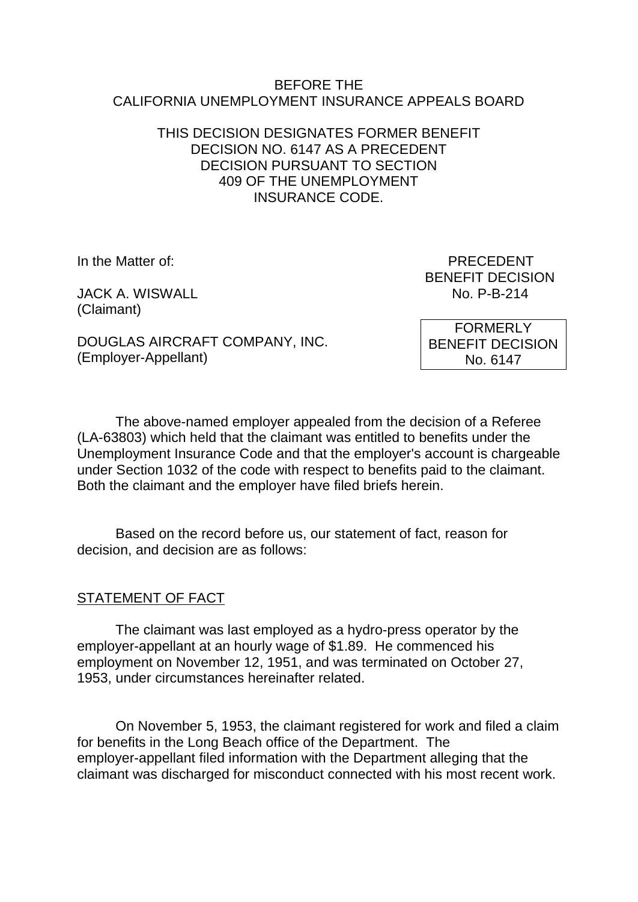#### BEFORE THE CALIFORNIA UNEMPLOYMENT INSURANCE APPEALS BOARD

### THIS DECISION DESIGNATES FORMER BENEFIT DECISION NO. 6147 AS A PRECEDENT DECISION PURSUANT TO SECTION 409 OF THE UNEMPLOYMENT INSURANCE CODE.

JACK A. WISWALL No. P-B-214 (Claimant)

In the Matter of: PRECEDENT BENEFIT DECISION

DOUGLAS AIRCRAFT COMPANY, INC. (Employer-Appellant)

FORMERLY BENEFIT DECISION No. 6147

The above-named employer appealed from the decision of a Referee (LA-63803) which held that the claimant was entitled to benefits under the Unemployment Insurance Code and that the employer's account is chargeable under Section 1032 of the code with respect to benefits paid to the claimant. Both the claimant and the employer have filed briefs herein.

Based on the record before us, our statement of fact, reason for decision, and decision are as follows:

# STATEMENT OF FACT

The claimant was last employed as a hydro-press operator by the employer-appellant at an hourly wage of \$1.89. He commenced his employment on November 12, 1951, and was terminated on October 27, 1953, under circumstances hereinafter related.

On November 5, 1953, the claimant registered for work and filed a claim for benefits in the Long Beach office of the Department. The employer-appellant filed information with the Department alleging that the claimant was discharged for misconduct connected with his most recent work.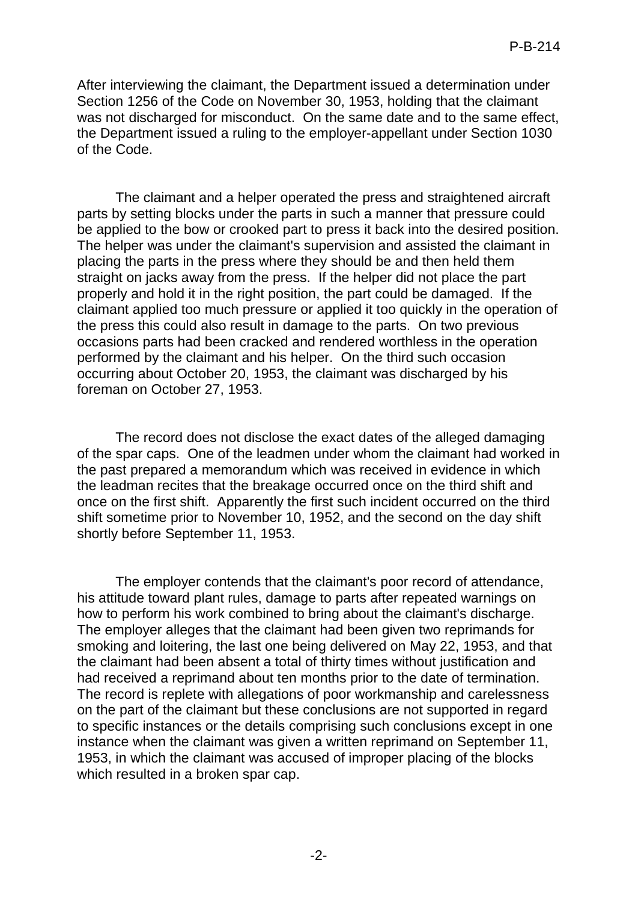After interviewing the claimant, the Department issued a determination under Section 1256 of the Code on November 30, 1953, holding that the claimant was not discharged for misconduct. On the same date and to the same effect, the Department issued a ruling to the employer-appellant under Section 1030 of the Code.

The claimant and a helper operated the press and straightened aircraft parts by setting blocks under the parts in such a manner that pressure could be applied to the bow or crooked part to press it back into the desired position. The helper was under the claimant's supervision and assisted the claimant in placing the parts in the press where they should be and then held them straight on jacks away from the press. If the helper did not place the part properly and hold it in the right position, the part could be damaged. If the claimant applied too much pressure or applied it too quickly in the operation of the press this could also result in damage to the parts. On two previous occasions parts had been cracked and rendered worthless in the operation performed by the claimant and his helper. On the third such occasion occurring about October 20, 1953, the claimant was discharged by his foreman on October 27, 1953.

The record does not disclose the exact dates of the alleged damaging of the spar caps. One of the leadmen under whom the claimant had worked in the past prepared a memorandum which was received in evidence in which the leadman recites that the breakage occurred once on the third shift and once on the first shift. Apparently the first such incident occurred on the third shift sometime prior to November 10, 1952, and the second on the day shift shortly before September 11, 1953.

The employer contends that the claimant's poor record of attendance, his attitude toward plant rules, damage to parts after repeated warnings on how to perform his work combined to bring about the claimant's discharge. The employer alleges that the claimant had been given two reprimands for smoking and loitering, the last one being delivered on May 22, 1953, and that the claimant had been absent a total of thirty times without justification and had received a reprimand about ten months prior to the date of termination. The record is replete with allegations of poor workmanship and carelessness on the part of the claimant but these conclusions are not supported in regard to specific instances or the details comprising such conclusions except in one instance when the claimant was given a written reprimand on September 11, 1953, in which the claimant was accused of improper placing of the blocks which resulted in a broken spar cap.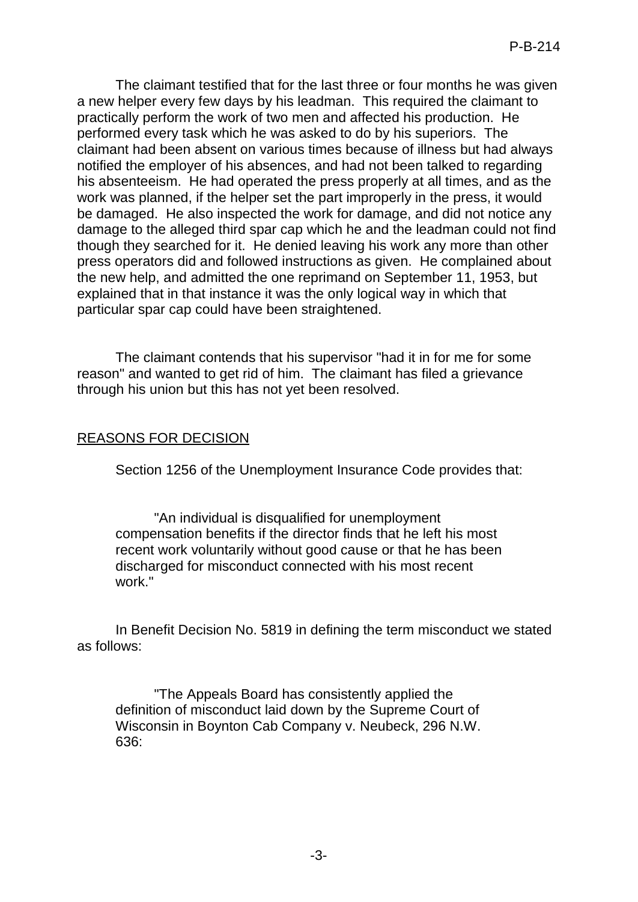The claimant testified that for the last three or four months he was given a new helper every few days by his leadman. This required the claimant to practically perform the work of two men and affected his production. He performed every task which he was asked to do by his superiors. The claimant had been absent on various times because of illness but had always notified the employer of his absences, and had not been talked to regarding his absenteeism. He had operated the press properly at all times, and as the work was planned, if the helper set the part improperly in the press, it would be damaged. He also inspected the work for damage, and did not notice any damage to the alleged third spar cap which he and the leadman could not find though they searched for it. He denied leaving his work any more than other press operators did and followed instructions as given. He complained about the new help, and admitted the one reprimand on September 11, 1953, but explained that in that instance it was the only logical way in which that particular spar cap could have been straightened.

The claimant contends that his supervisor "had it in for me for some reason" and wanted to get rid of him. The claimant has filed a grievance through his union but this has not yet been resolved.

### REASONS FOR DECISION

Section 1256 of the Unemployment Insurance Code provides that:

"An individual is disqualified for unemployment compensation benefits if the director finds that he left his most recent work voluntarily without good cause or that he has been discharged for misconduct connected with his most recent work."

In Benefit Decision No. 5819 in defining the term misconduct we stated as follows:

"The Appeals Board has consistently applied the definition of misconduct laid down by the Supreme Court of Wisconsin in Boynton Cab Company v. Neubeck, 296 N.W. 636: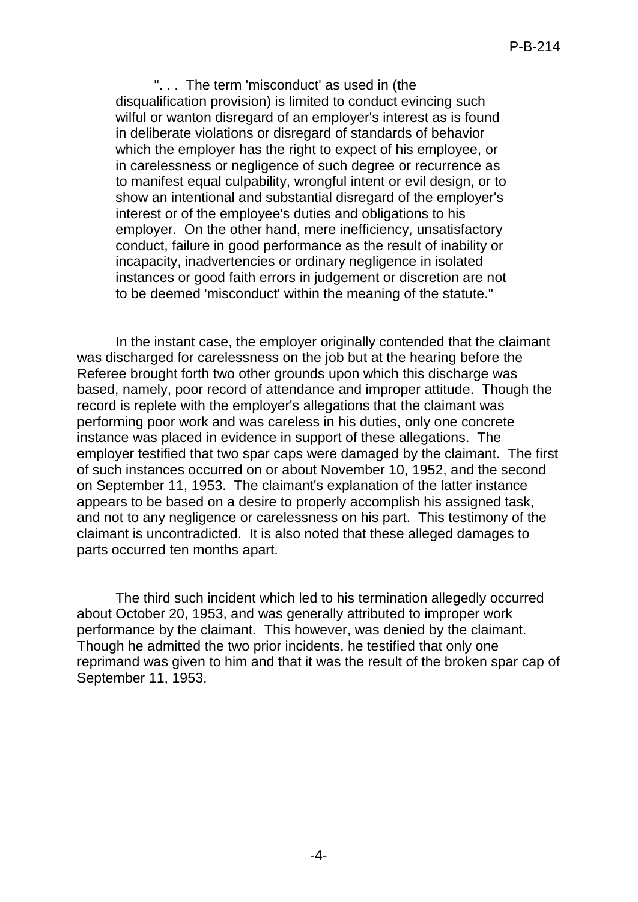". . . The term 'misconduct' as used in (the disqualification provision) is limited to conduct evincing such wilful or wanton disregard of an employer's interest as is found in deliberate violations or disregard of standards of behavior which the employer has the right to expect of his employee, or in carelessness or negligence of such degree or recurrence as to manifest equal culpability, wrongful intent or evil design, or to show an intentional and substantial disregard of the employer's interest or of the employee's duties and obligations to his employer. On the other hand, mere inefficiency, unsatisfactory conduct, failure in good performance as the result of inability or incapacity, inadvertencies or ordinary negligence in isolated instances or good faith errors in judgement or discretion are not to be deemed 'misconduct' within the meaning of the statute."

In the instant case, the employer originally contended that the claimant was discharged for carelessness on the job but at the hearing before the Referee brought forth two other grounds upon which this discharge was based, namely, poor record of attendance and improper attitude. Though the record is replete with the employer's allegations that the claimant was performing poor work and was careless in his duties, only one concrete instance was placed in evidence in support of these allegations. The employer testified that two spar caps were damaged by the claimant. The first of such instances occurred on or about November 10, 1952, and the second on September 11, 1953. The claimant's explanation of the latter instance appears to be based on a desire to properly accomplish his assigned task, and not to any negligence or carelessness on his part. This testimony of the claimant is uncontradicted. It is also noted that these alleged damages to parts occurred ten months apart.

The third such incident which led to his termination allegedly occurred about October 20, 1953, and was generally attributed to improper work performance by the claimant. This however, was denied by the claimant. Though he admitted the two prior incidents, he testified that only one reprimand was given to him and that it was the result of the broken spar cap of September 11, 1953.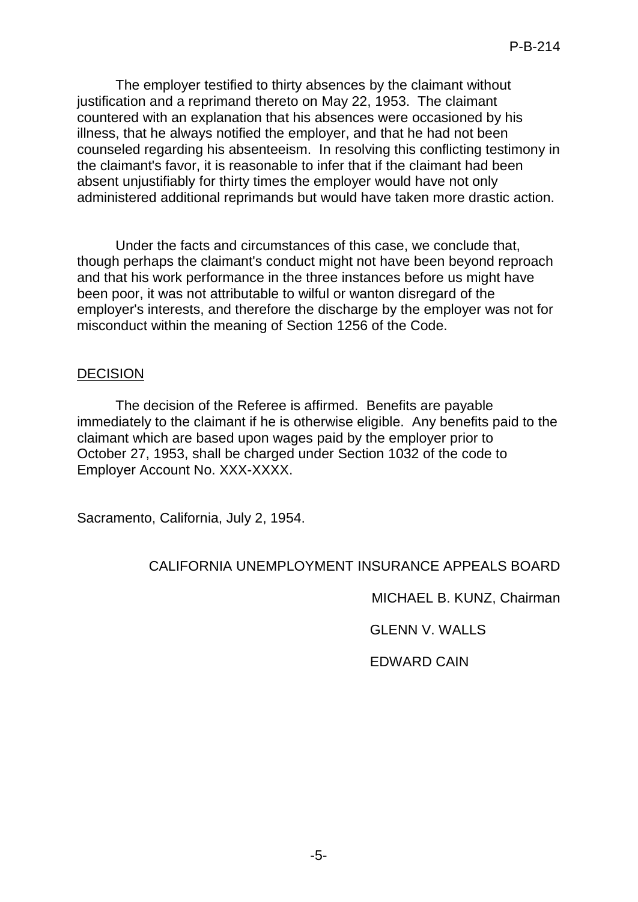The employer testified to thirty absences by the claimant without justification and a reprimand thereto on May 22, 1953. The claimant countered with an explanation that his absences were occasioned by his illness, that he always notified the employer, and that he had not been counseled regarding his absenteeism. In resolving this conflicting testimony in the claimant's favor, it is reasonable to infer that if the claimant had been absent unjustifiably for thirty times the employer would have not only administered additional reprimands but would have taken more drastic action.

Under the facts and circumstances of this case, we conclude that, though perhaps the claimant's conduct might not have been beyond reproach and that his work performance in the three instances before us might have been poor, it was not attributable to wilful or wanton disregard of the employer's interests, and therefore the discharge by the employer was not for misconduct within the meaning of Section 1256 of the Code.

### DECISION

The decision of the Referee is affirmed. Benefits are payable immediately to the claimant if he is otherwise eligible. Any benefits paid to the claimant which are based upon wages paid by the employer prior to October 27, 1953, shall be charged under Section 1032 of the code to Employer Account No. XXX-XXXX.

Sacramento, California, July 2, 1954.

# CALIFORNIA UNEMPLOYMENT INSURANCE APPEALS BOARD

MICHAEL B. KUNZ, Chairman

GLENN V. WALLS

EDWARD CAIN